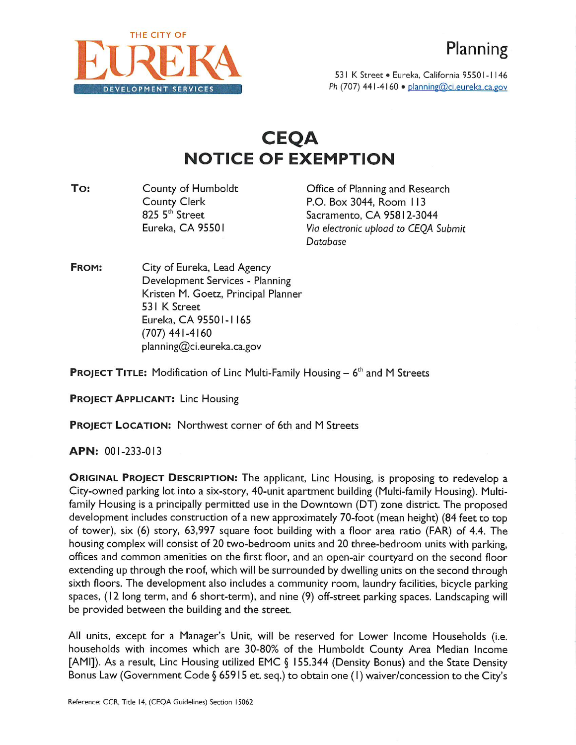

531 K Street · Eureka, California 95501-1146 **D E V E L O P M E N T S E R V I C E S** *Ph* (707) 441-4160 •planning@ci.eureka.ca.gov

## **CEQA NOTICE OF EXEMPTION**

County of Humboldt County Clerk 825 5<sup>th</sup> Street Eureka, CA 95501 **To:** County of Humboldt **County of Humboldt Office of Planning and Research** 

P.O. Box 3044, Room I <sup>13</sup> Sacramento, CA 95812-3044 *Via electronic upload to CEQA Submit Database*

City of Eureka, Lead Agency Development Services - Planning Kristen M. Goetz, Principal Planner 531 K Street Eureka, CA 95501- <sup>1</sup> 165 (707) 441-4160 planning@ci.eureka.ca.gov **FROM:**

**PROJECT TITLE:** Modification of Line Multi-Family Housing - **<sup>6</sup> th** and M Streets

**PROJECT APPLICANT:** Line Housing

**PROJECT LOCATION:** Northwest corner of 6th and M Streets

**APN:** 001-233-013

**ORIGINAL PROJECT DESCRIPTION:** The applicant, Line Housing, is proposing to redevelop <sup>a</sup> City-owned parking lot into <sup>a</sup> six-story, 40-unit apartment building (Multi-family Housing). Multifamily Housing is a principally permitted use in the Downtown (DT) zone district. The proposed development includes construction of a new approximately 70-foot (mean height) (84 feet to top of tower), six (6) story, 63,997 square foot building with <sup>a</sup> floor area ratio (FAR) of 4.4. The housing complex will consist of 20 two-bedroom units and 20 three-bedroom units with parking, offices and common amenities on the first floor, and an open-air courtyard on the second floor extending up through the roof, which will be surrounded by dwelling units on the second through sixth floors. The development also includes a community room, laundry facilities, bicycle parking spaces, ( <sup>12</sup> long term, and 6 short-term), and nine (9) off-street parking spaces. Landscaping will be provided between the building and the street.

All units, except for <sup>a</sup> Manager's Unit, will be reserved for Lower Income Households (i.e. households with incomes which are 30-80% of the Humboldt County Area Median Income [AMI]). As <sup>a</sup> result, Line Housing utilized EMC § 155.344 (Density Bonus) and the State Density Bonus Law (Government Code § 65915 et. seq.) to obtain one (I) waiver/concession to the City's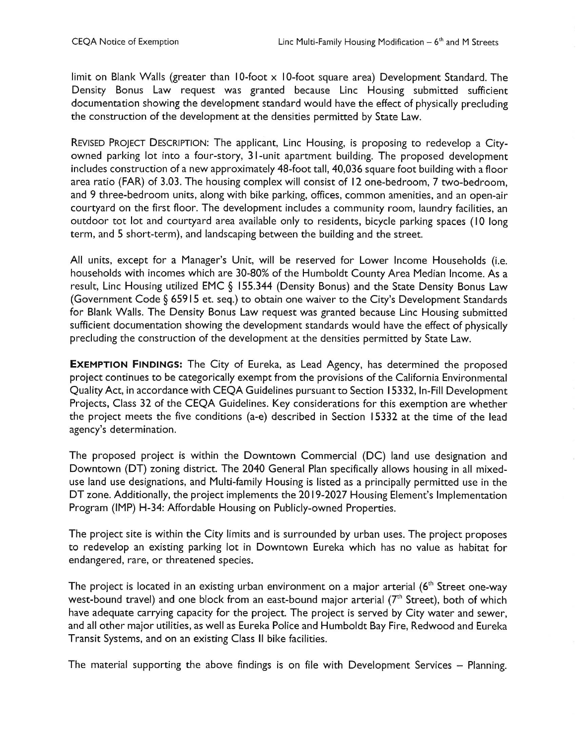limit on Blank Walls (greater than 10-foot  $\times$  10-foot square area) Development Standard. The Density Bonus Law request was granted because Line Housing submitted sufficient documentation showing the development standard would have the effect of physically precluding the construction of the development at the densities permitted by State Law.

REVISED PROJECT DESCRIPTION: The applicant, Line Housing, is proposing to redevelop <sup>a</sup> Cityowned parking lot into <sup>a</sup> four-story, 31-unit apartment building. The proposed development includes construction of <sup>a</sup> new approximately 48-foot tall, 40,036 square foot building with <sup>a</sup> floor area ratio (FAR) of 3.03. The housing complex will consist of <sup>12</sup> one-bedroom, 7 two-bedroom, and <sup>9</sup> three-bedroom units, along with bike parking, offices, common amenities, and an open-air courtyard on the first floor. The development includes <sup>a</sup> community room, laundry facilities, an outdoor tot lot and courtyard area available only to residents, bicycle parking spaces (10 long term, and <sup>5</sup> short-term), and landscaping between the building and the street.

All units, except for <sup>a</sup> Manager's Unit, will be reserved for Lower Income Households (i.e. households with incomes which are 30-80% of the Humboldt County Area Median Income. As a result, Line Housing utilized EMC § 155.344 (Density Bonus) and the State Density Bonus Law (Government Code § 65915 et. seq.) to obtain one waiver to the City's Development Standards for Blank Walls. The Density Bonus Law request was granted because Line Housing submitted sufficient documentation showing the development standards would have the effect of physically precluding the construction of the development at the densities permitted by State Law.

**EXEMPTION FINDINGS:** The City of Eureka, as Lead Agency, has determined the proposed project continues to be categorically exempt from the provisions of the California Environmental Quality Act, in accordance with CEQA Guidelines pursuant to Section 15332, In-Fill Development Projects, Class 32 of the CEQA Guidelines. Key considerations for this exemption are whether the project meets the five conditions (a-e) described in Section 15332 at the time of the lead agency's determination.

The proposed project is within the Downtown Commercial (DC) land use designation and Downtown (DT) zoning district. The 2040 General Plan specifically allows housing in all mixeduse land use designations, and Multi-family Housing is listed as <sup>a</sup> principally permitted use in the DT zone. Additionally, the project implements the 2019-2027 Housing Element's Implementation Program (IMP) H-34: Affordable Housing on Publicly-owned Properties.

The project site is within the City limits and is surrounded by urban uses. The project proposes to redevelop an existing parking lot in Downtown Eureka which has no value as habitat for endangered, rare, or threatened species.

The project is located in an existing urban environment on a major arterial ( $6^\mathrm{th}$  Street one-way west-bound travel) and one block from an east-bound major arterial (7<sup>th</sup> Street), both of which have adequate carrying capacity for the project. The project is served by City water and sewer, and all other major utilities, as well as Eureka Police and Humboldt Bay Fire, Redwood and Eureka Transit Systems, and on an existing Class II bike facilities.

The material supporting the above findings is on file with Development Services  $-$  Planning.